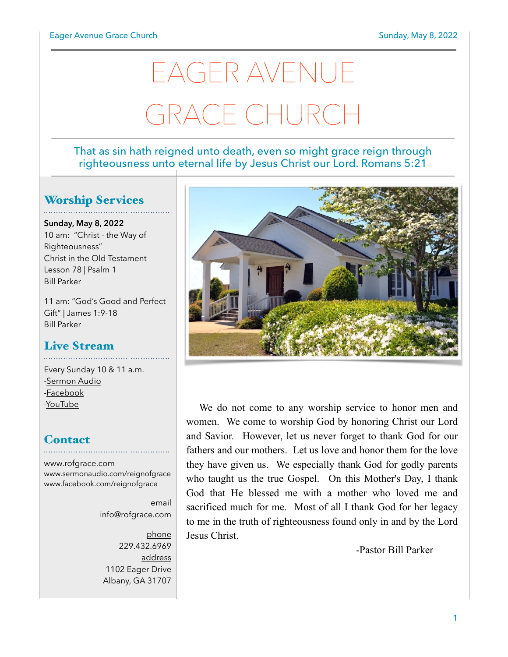# EAGER AVENUE GRACE CHURCI

#### That as sin hath reigned unto death, even so might grace reign through righteousness unto eternal life by Jesus Christ our Lord. Romans 5:21

## Worship Services

**Sunday, May 8, 2022** 10 am: "Christ - the Way of Righteousness" Christ in the Old Testament Lesson 78 | Psalm 1 Bill Parker

11 am: "God's Good and Perfect Gift" | James 1:9-18 Bill Parker

## Live Stream

Every Sunday 10 & 11 a.m. [-Sermon Audio](http://sermonaudio.com/reignofgrace) [-Facebook](http://facebook.com/eageravechurch) [-YouTube](http://youtube.com/channel/UCu_lTHCIUOK0cka9AjFV_5Q/live)

## **Contact**

[www.rofgrace.com](http://www.rofgrace.com) [www.sermonaudio.com/reignofgrace](http://www.sermonaudio.com/reignofgrace) [www.facebook.com/reignofgrace](http://www.facebook.com/reignofgrace)

email [info@rofgrace.com](mailto:info@rofgrace.com?subject=)

phone 229.432.6969 address 1102 Eager Drive Albany, GA 31707



We do not come to any worship service to honor men and women. We come to worship God by honoring Christ our Lord and Savior. However, let us never forget to thank God for our fathers and our mothers. Let us love and honor them for the love they have given us. We especially thank God for godly parents who taught us the true Gospel. On this Mother's Day, I thank God that He blessed me with a mother who loved me and sacrificed much for me. Most of all I thank God for her legacy to me in the truth of righteousness found only in and by the Lord Jesus Christ.

-Pastor Bill Parker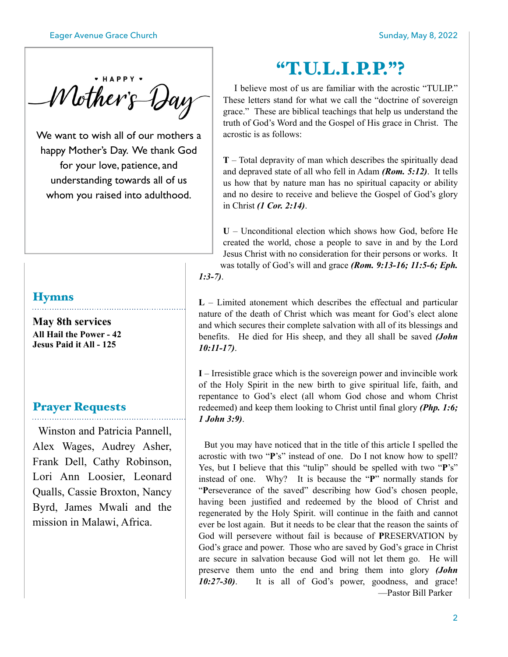• HAPPY Mother's Day

We want to wish all of our mothers a happy Mother's Day. We thank God for your love, patience, and understanding towards all of us whom you raised into adulthood.

#### **Hymns**

**May 8th services All Hail the Power - 42 Jesus Paid it All - 125**

### Prayer Requests

 Winston and Patricia Pannell, Alex Wages, Audrey Asher, Frank Dell, Cathy Robinson, Lori Ann Loosier, Leonard Qualls, Cassie Broxton, Nancy Byrd, James Mwali and the mission in Malawi, Africa.

# "T.U.L.I.P.P."?

 I believe most of us are familiar with the acrostic "TULIP." These letters stand for what we call the "doctrine of sovereign grace." These are biblical teachings that help us understand the truth of God's Word and the Gospel of His grace in Christ. The acrostic is as follows:

**T** – Total depravity of man which describes the spiritually dead and depraved state of all who fell in Adam *(Rom. 5:12)*. It tells us how that by nature man has no spiritual capacity or ability and no desire to receive and believe the Gospel of God's glory in Christ *(1 Cor. 2:14)*.

**U** – Unconditional election which shows how God, before He created the world, chose a people to save in and by the Lord Jesus Christ with no consideration for their persons or works. It was totally of God's will and grace *(Rom. 9:13-16; 11:5-6; Eph. 1:3-7)*.

**L** – Limited atonement which describes the effectual and particular nature of the death of Christ which was meant for God's elect alone and which secures their complete salvation with all of its blessings and benefits. He died for His sheep, and they all shall be saved *(John 10:11-17)*.

**I** – Irresistible grace which is the sovereign power and invincible work of the Holy Spirit in the new birth to give spiritual life, faith, and repentance to God's elect (all whom God chose and whom Christ redeemed) and keep them looking to Christ until final glory *(Php. 1:6; 1 John 3:9)*.

 But you may have noticed that in the title of this article I spelled the acrostic with two "**P**'s" instead of one. Do I not know how to spell? Yes, but I believe that this "tulip" should be spelled with two "**P**'s" instead of one. Why? It is because the "**P**" normally stands for "**P**erseverance of the saved" describing how God's chosen people, having been justified and redeemed by the blood of Christ and regenerated by the Holy Spirit. will continue in the faith and cannot ever be lost again. But it needs to be clear that the reason the saints of God will persevere without fail is because of **P**RESERVATION by God's grace and power. Those who are saved by God's grace in Christ are secure in salvation because God will not let them go. He will preserve them unto the end and bring them into glory *(John 10:27-30)*. It is all of God's power, goodness, and grace! —Pastor Bill Parker